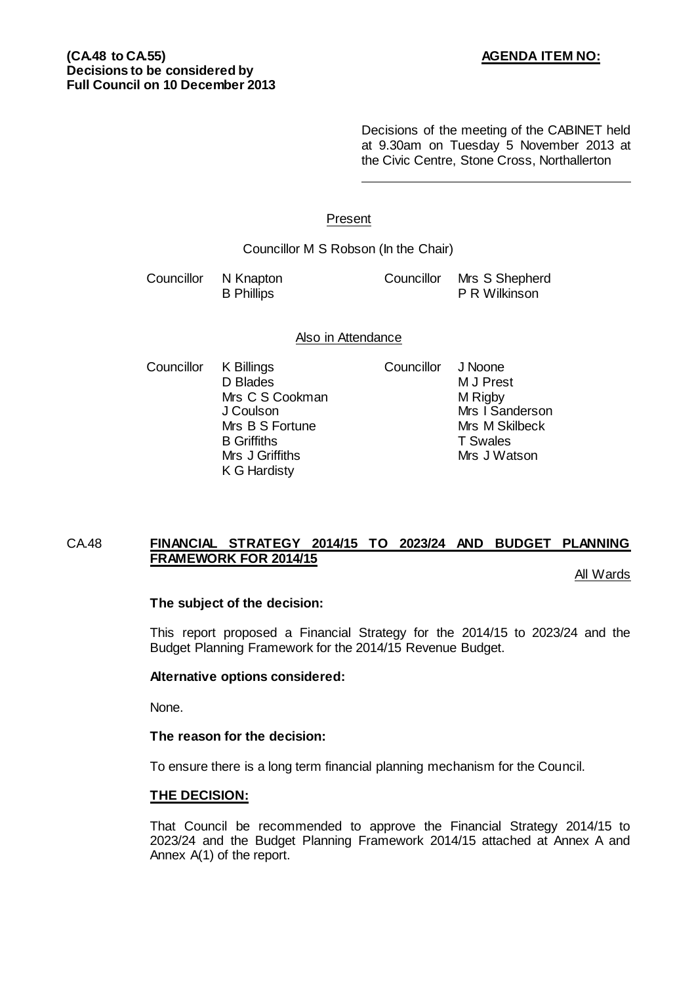Decisions of the meeting of the CABINET held at 9.30am on Tuesday 5 November 2013 at the Civic Centre, Stone Cross, Northallerton

## Present

Councillor M S Robson (In the Chair)

| Councillor N Knapton | Councillor Mrs S Shepherd |
|----------------------|---------------------------|
| <b>B</b> Phillips    | <b>P R Wilkinson</b>      |

#### Also in Attendance

Councillor K Billings Councillor J Noone D Blades<br>
M J Prest<br>
M Rigby<br>
M Rigby Mrs C S Cookman<br>J Coulson Mrs B S Fortune Mrs M Sk<br>B Griffiths T Swales Mrs J Griffiths K G Hardisty

Mrs I Sanderson<br>Mrs M Skilbeck B Griffiths T Swales<br>
Mrs J Griffiths 
Mrs J Watson

# CA.48 **FINANCIAL STRATEGY 2014/15 TO 2023/24 AND BUDGET PLANNING FRAMEWORK FOR 2014/15**

All Wards

# **The subject of the decision:**

This report proposed a Financial Strategy for the 2014/15 to 2023/24 and the Budget Planning Framework for the 2014/15 Revenue Budget.

# **Alternative options considered:**

None.

# **The reason for the decision:**

To ensure there is a long term financial planning mechanism for the Council.

#### **THE DECISION:**

That Council be recommended to approve the Financial Strategy 2014/15 to 2023/24 and the Budget Planning Framework 2014/15 attached at Annex A and Annex A(1) of the report.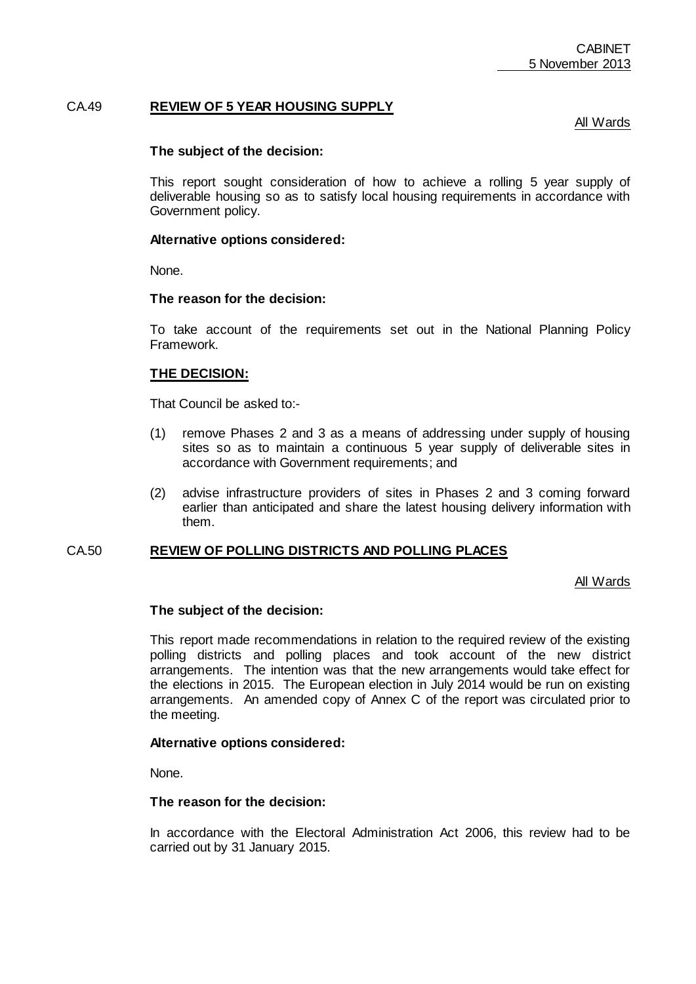# CA.49 **REVIEW OF 5 YEAR HOUSING SUPPLY**

All Wards

### **The subject of the decision:**

This report sought consideration of how to achieve a rolling 5 year supply of deliverable housing so as to satisfy local housing requirements in accordance with Government policy.

#### **Alternative options considered:**

None.

#### **The reason for the decision:**

To take account of the requirements set out in the National Planning Policy Framework.

#### **THE DECISION:**

That Council be asked to:-

- (1) remove Phases 2 and 3 as a means of addressing under supply of housing sites so as to maintain a continuous 5 year supply of deliverable sites in accordance with Government requirements; and
- (2) advise infrastructure providers of sites in Phases 2 and 3 coming forward earlier than anticipated and share the latest housing delivery information with them.

#### CA.50 **REVIEW OF POLLING DISTRICTS AND POLLING PLACES**

All Wards

#### **The subject of the decision:**

This report made recommendations in relation to the required review of the existing polling districts and polling places and took account of the new district arrangements. The intention was that the new arrangements would take effect for the elections in 2015. The European election in July 2014 would be run on existing arrangements. An amended copy of Annex C of the report was circulated prior to the meeting.

#### **Alternative options considered:**

None.

# **The reason for the decision:**

In accordance with the Electoral Administration Act 2006, this review had to be carried out by 31 January 2015.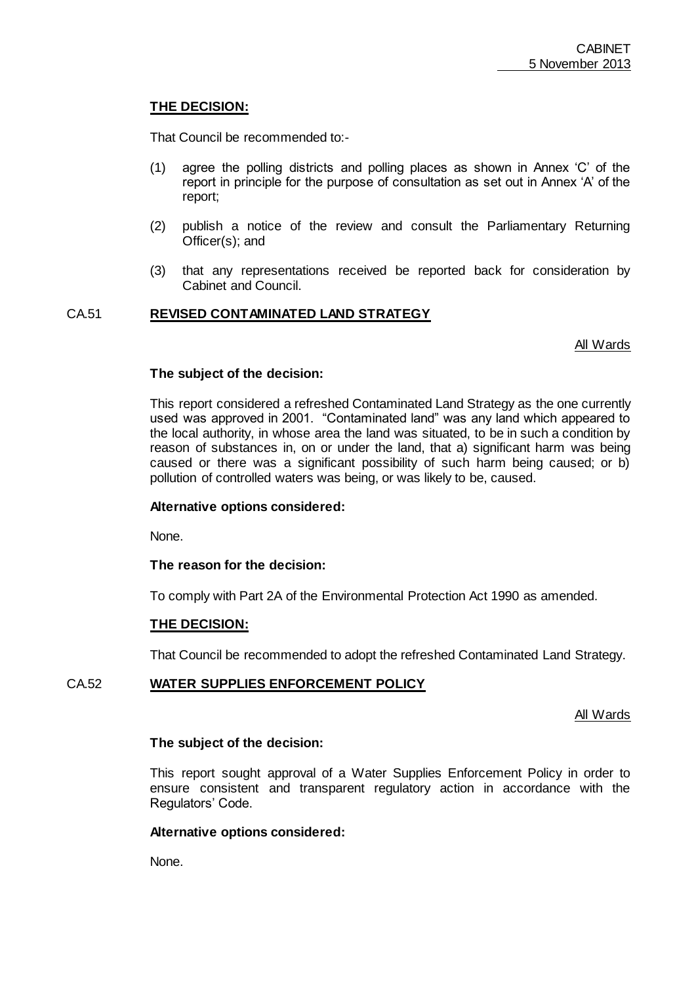# **THE DECISION:**

That Council be recommended to:-

- (1) agree the polling districts and polling places as shown in Annex "C" of the report in principle for the purpose of consultation as set out in Annex "A" of the report;
- (2) publish a notice of the review and consult the Parliamentary Returning Officer(s); and
- (3) that any representations received be reported back for consideration by Cabinet and Council.

# CA.51 **REVISED CONTAMINATED LAND STRATEGY**

All Wards

## **The subject of the decision:**

This report considered a refreshed Contaminated Land Strategy as the one currently used was approved in 2001. "Contaminated land" was any land which appeared to the local authority, in whose area the land was situated, to be in such a condition by reason of substances in, on or under the land, that a) significant harm was being caused or there was a significant possibility of such harm being caused; or b) pollution of controlled waters was being, or was likely to be, caused.

#### **Alternative options considered:**

None.

**The reason for the decision:**

To comply with Part 2A of the Environmental Protection Act 1990 as amended.

#### **THE DECISION:**

That Council be recommended to adopt the refreshed Contaminated Land Strategy.

# CA.52 **WATER SUPPLIES ENFORCEMENT POLICY**

All Wards

#### **The subject of the decision:**

This report sought approval of a Water Supplies Enforcement Policy in order to ensure consistent and transparent regulatory action in accordance with the Regulators' Code.

#### **Alternative options considered:**

None.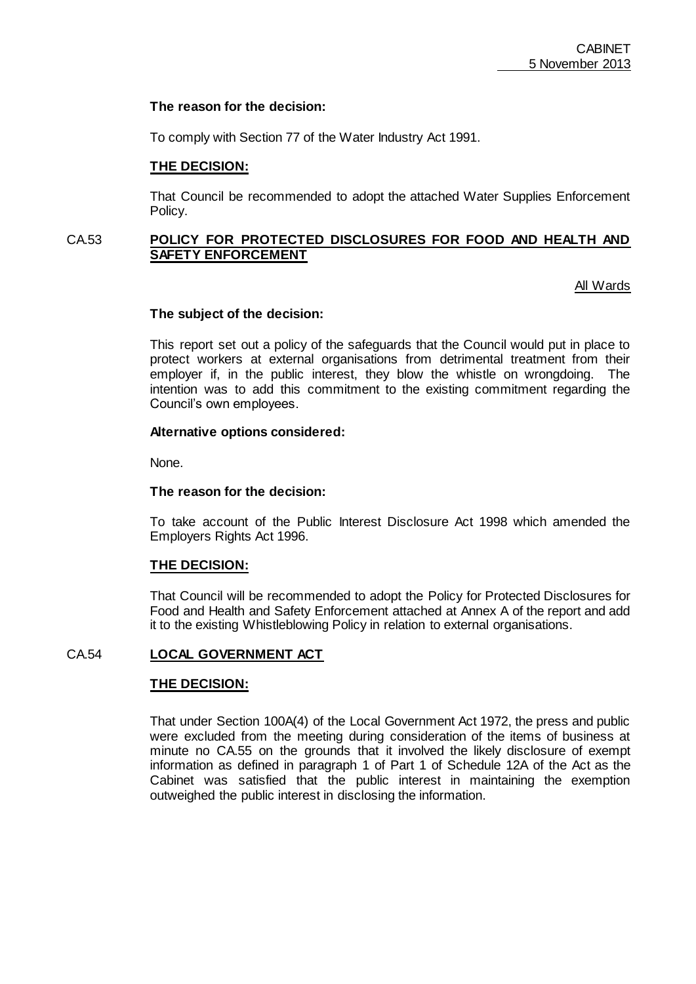## **The reason for the decision:**

To comply with Section 77 of the Water Industry Act 1991.

### **THE DECISION:**

That Council be recommended to adopt the attached Water Supplies Enforcement Policy.

# CA.53 **POLICY FOR PROTECTED DISCLOSURES FOR FOOD AND HEALTH AND SAFETY ENFORCEMENT**

All Wards

## **The subject of the decision:**

This report set out a policy of the safeguards that the Council would put in place to protect workers at external organisations from detrimental treatment from their employer if, in the public interest, they blow the whistle on wrongdoing. The intention was to add this commitment to the existing commitment regarding the Council"s own employees.

#### **Alternative options considered:**

None.

### **The reason for the decision:**

To take account of the Public Interest Disclosure Act 1998 which amended the Employers Rights Act 1996.

#### **THE DECISION:**

That Council will be recommended to adopt the Policy for Protected Disclosures for Food and Health and Safety Enforcement attached at Annex A of the report and add it to the existing Whistleblowing Policy in relation to external organisations.

# CA.54 **LOCAL GOVERNMENT ACT**

# **THE DECISION:**

That under Section 100A(4) of the Local Government Act 1972, the press and public were excluded from the meeting during consideration of the items of business at minute no CA.55 on the grounds that it involved the likely disclosure of exempt information as defined in paragraph 1 of Part 1 of Schedule 12A of the Act as the Cabinet was satisfied that the public interest in maintaining the exemption outweighed the public interest in disclosing the information.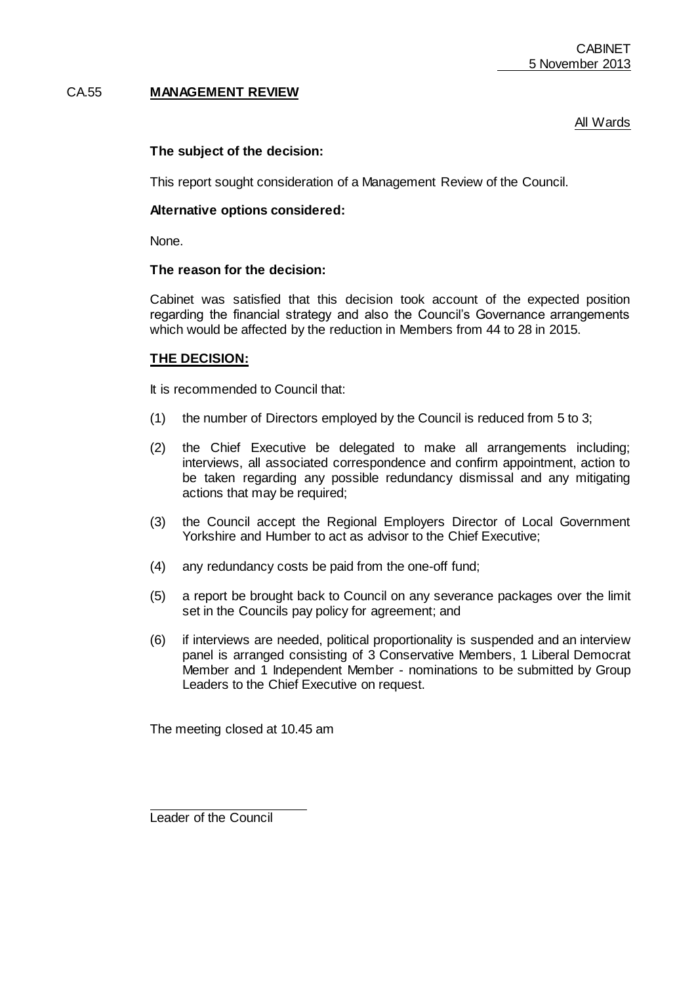# CA.55 **MANAGEMENT REVIEW**

# All Wards

# **The subject of the decision:**

This report sought consideration of a Management Review of the Council.

#### **Alternative options considered:**

None.

#### **The reason for the decision:**

Cabinet was satisfied that this decision took account of the expected position regarding the financial strategy and also the Council"s Governance arrangements which would be affected by the reduction in Members from 44 to 28 in 2015.

## **THE DECISION:**

It is recommended to Council that:

- (1) the number of Directors employed by the Council is reduced from 5 to 3;
- (2) the Chief Executive be delegated to make all arrangements including; interviews, all associated correspondence and confirm appointment, action to be taken regarding any possible redundancy dismissal and any mitigating actions that may be required;
- (3) the Council accept the Regional Employers Director of Local Government Yorkshire and Humber to act as advisor to the Chief Executive;
- (4) any redundancy costs be paid from the one-off fund;
- (5) a report be brought back to Council on any severance packages over the limit set in the Councils pay policy for agreement; and
- (6) if interviews are needed, political proportionality is suspended and an interview panel is arranged consisting of 3 Conservative Members, 1 Liberal Democrat Member and 1 Independent Member - nominations to be submitted by Group Leaders to the Chief Executive on request.

The meeting closed at 10.45 am

Leader of the Council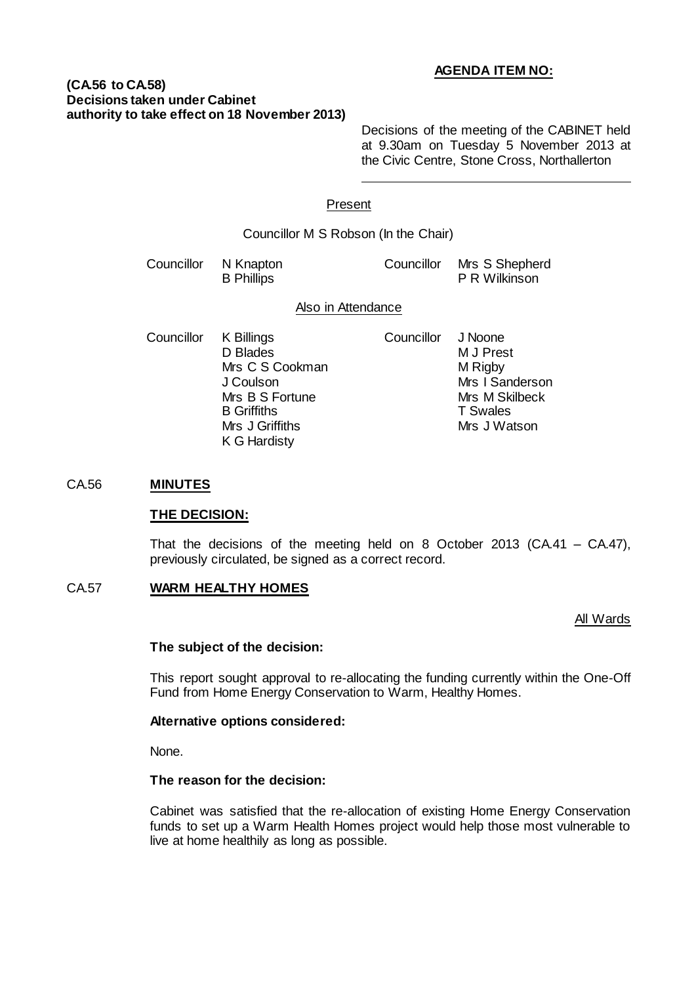# **AGENDA ITEM NO:**

## **(CA.56 to CA.58) Decisions taken under Cabinet authority to take effect on 18 November 2013)**

Decisions of the meeting of the CABINET held at 9.30am on Tuesday 5 November 2013 at the Civic Centre, Stone Cross, Northallerton

## Present

Councillor M S Robson (In the Chair)

| Councillor N Knapton | Councillor Mrs S Shepherd |
|----------------------|---------------------------|
| <b>B</b> Phillips    | P R Wilkinson             |

#### Also in Attendance

- Councillor K Billings Councillor J Noone D Blades Mrs C S Cookman M Rigby J Coulson Mrs I Sanderson Mrs B S Fortune Mrs M Skilbeck<br>B Griffiths T Swales **B Griffiths** Mrs J Griffiths Mrs J Watson K G Hardisty
	-

#### CA.56 **MINUTES**

#### **THE DECISION:**

That the decisions of the meeting held on 8 October 2013 (CA.41 – CA.47), previously circulated, be signed as a correct record.

## CA.57 **WARM HEALTHY HOMES**

#### All Wards

## **The subject of the decision:**

This report sought approval to re-allocating the funding currently within the One-Off Fund from Home Energy Conservation to Warm, Healthy Homes.

#### **Alternative options considered:**

None.

### **The reason for the decision:**

Cabinet was satisfied that the re-allocation of existing Home Energy Conservation funds to set up a Warm Health Homes project would help those most vulnerable to live at home healthily as long as possible.